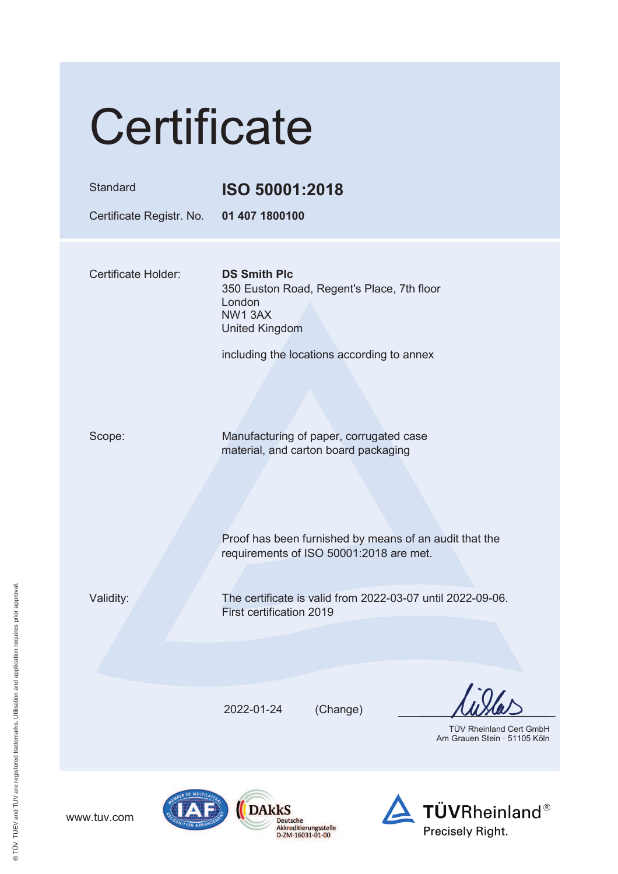| Certificate                          |                                                                                                                                                                                      |  |
|--------------------------------------|--------------------------------------------------------------------------------------------------------------------------------------------------------------------------------------|--|
| Standard<br>Certificate Registr. No. | ISO 50001:2018<br>01 407 1800100                                                                                                                                                     |  |
| Certificate Holder:                  | <b>DS Smith Plc</b><br>350 Euston Road, Regent's Place, 7th floor<br>London<br>NW13AX<br><b>United Kingdom</b><br>including the locations according to annex                         |  |
| Scope:                               | Manufacturing of paper, corrugated case<br>material, and carton board packaging<br>Proof has been furnished by means of an audit that the<br>requirements of ISO 50001:2018 are met. |  |
| Validity:                            | The certificate is valid from 2022-03-07 until 2022-09-06.<br>First certification 2019                                                                                               |  |
|                                      | (Change)<br>2022-01-24<br><b>TÜV Rheinland Cert GmbH</b><br>Am Grauen Stein · 51105 Köln                                                                                             |  |
| OF MULTIL                            |                                                                                                                                                                                      |  |



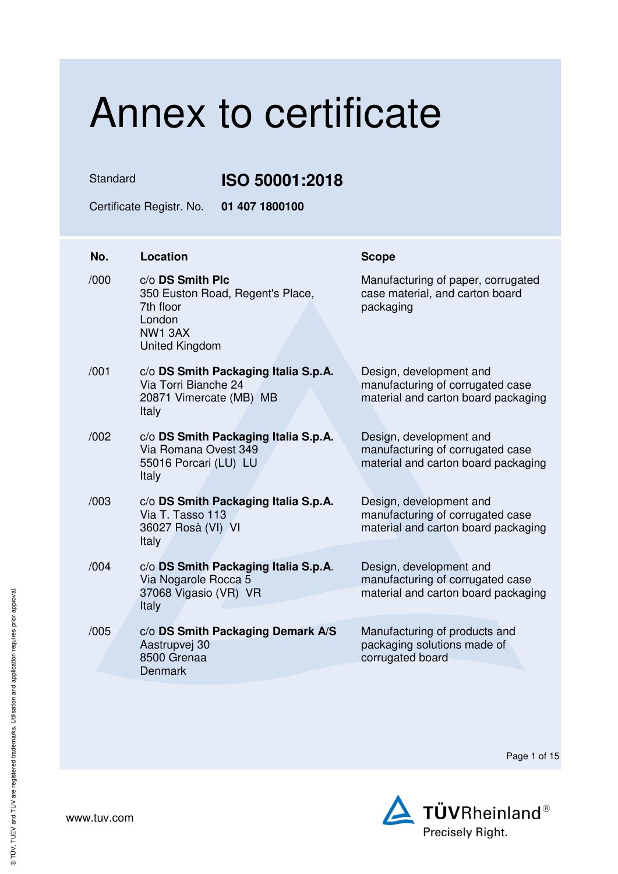Standard **ISO 50001:2018** 

Certificate Registr. No. **01 407 1800100** 

| No.  | Location                                                                                                | <b>Scope</b>                                                                                       |
|------|---------------------------------------------------------------------------------------------------------|----------------------------------------------------------------------------------------------------|
| /000 | c/o DS Smith Plc<br>350 Euston Road, Regent's Place,<br>7th floor<br>London<br>NW13AX<br>United Kingdom | Manufacturing of paper, corrugated<br>case material, and carton board<br>packaging                 |
| /001 | c/o DS Smith Packaging Italia S.p.A.<br>Via Torri Bianche 24<br>20871 Vimercate (MB) MB<br>Italy        | Design, development and<br>manufacturing of corrugated case<br>material and carton board packaging |
| /002 | c/o DS Smith Packaging Italia S.p.A.<br>Via Romana Ovest 349<br>55016 Porcari (LU) LU<br>Italy          | Design, development and<br>manufacturing of corrugated case<br>material and carton board packaging |
| /003 | c/o DS Smith Packaging Italia S.p.A.<br>Via T. Tasso 113<br>36027 Rosà (VI) VI<br>Italy                 | Design, development and<br>manufacturing of corrugated case<br>material and carton board packaging |
| /004 | c/o DS Smith Packaging Italia S.p.A.<br>Via Nogarole Rocca 5<br>37068 Vigasio (VR) VR<br>Italy          | Design, development and<br>manufacturing of corrugated case<br>material and carton board packaging |
| /005 | c/o DS Smith Packaging Demark A/S<br>Aastrupvej 30<br>8500 Grenaa<br><b>Denmark</b>                     | Manufacturing of products and<br>packaging solutions made of<br>corrugated board                   |

Page 1 of 15

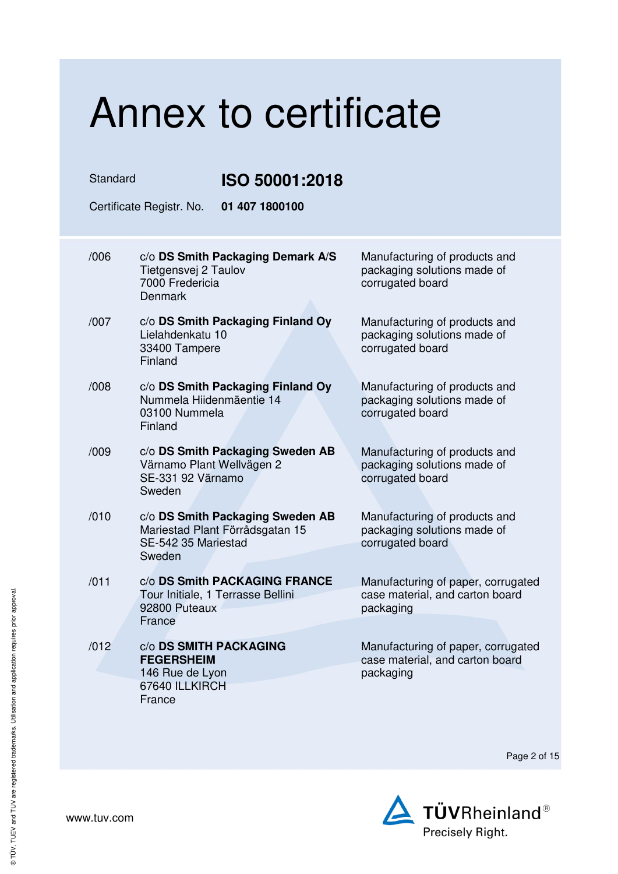Standard **ISO 50001:2018** 

Certificate Registr. No. **01 407 1800100** 

| /006 | c/o DS Smith Packaging Demark A/S<br>Tietgensvej 2 Taulov<br>7000 Fredericia<br><b>Denmark</b>       | Manufacturing of products and<br>packaging solutions made of<br>corrugated board   |
|------|------------------------------------------------------------------------------------------------------|------------------------------------------------------------------------------------|
| /007 | c/o DS Smith Packaging Finland Oy<br>Lielahdenkatu 10<br>33400 Tampere<br>Finland                    | Manufacturing of products and<br>packaging solutions made of<br>corrugated board   |
| /008 | c/o DS Smith Packaging Finland Oy<br>Nummela Hiidenmäentie 14<br>03100 Nummela<br>Finland            | Manufacturing of products and<br>packaging solutions made of<br>corrugated board   |
| /009 | c/o DS Smith Packaging Sweden AB<br>Värnamo Plant Wellvägen 2<br>SE-331 92 Värnamo<br>Sweden         | Manufacturing of products and<br>packaging solutions made of<br>corrugated board   |
| /010 | c/o DS Smith Packaging Sweden AB<br>Mariestad Plant Förrådsgatan 15<br>SE-542 35 Mariestad<br>Sweden | Manufacturing of products and<br>packaging solutions made of<br>corrugated board   |
| /011 | c/o DS Smith PACKAGING FRANCE<br>Tour Initiale, 1 Terrasse Bellini<br>92800 Puteaux<br>France        | Manufacturing of paper, corrugated<br>case material, and carton board<br>packaging |
| /012 | c/o DS SMITH PACKAGING<br><b>FEGERSHEIM</b><br>146 Rue de Lyon<br>67640 ILLKIRCH<br>France           | Manufacturing of paper, corrugated<br>case material, and carton board<br>packaging |

Page 2 of 15

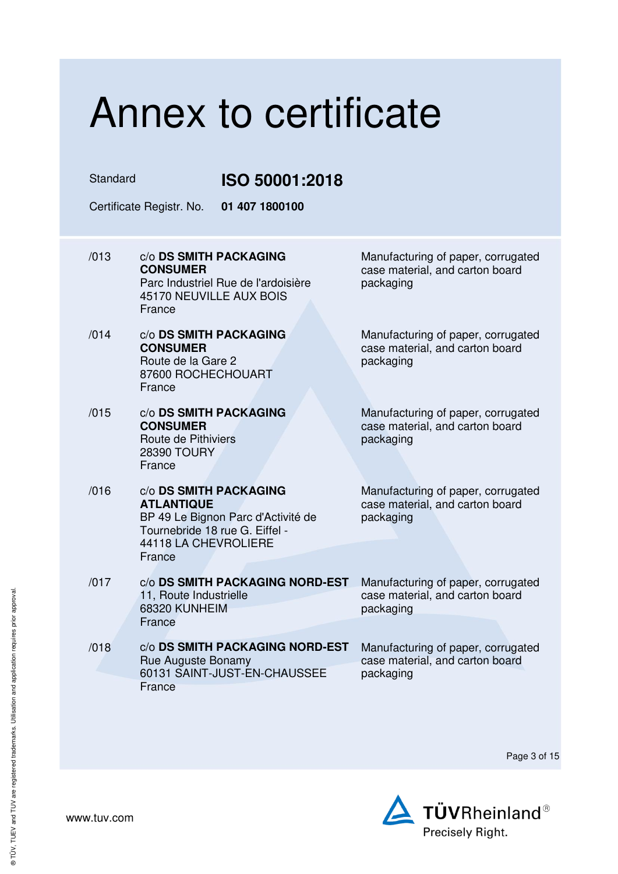Standard **ISO 50001:2018** 

Certificate Registr. No. **01 407 1800100** 

- /013 c/o **DS SMITH PACKAGING CONSUMER** Parc Industriel Rue de l'ardoisière 45170 NEUVILLE AUX BOIS France
- /014 c/o **DS SMITH PACKAGING CONSUMER** Route de la Gare 2 87600 ROCHECHOUART **France**
- /015 c/o **DS SMITH PACKAGING CONSUMER** Route de Pithiviers 28390 TOURY France
- /016 c/o **DS SMITH PACKAGING ATLANTIQUE** BP 49 Le Bignon Parc d'Activité de Tournebride 18 rue G. Eiffel - 44118 LA CHEVROLIERE France
- /017 c/o **DS SMITH PACKAGING NORD-EST** 11, Route Industrielle 68320 KUNHEIM **France**
- /018 c/o **DS SMITH PACKAGING NORD-EST** Rue Auguste Bonamy 60131 SAINT-JUST-EN-CHAUSSEE **France**

Manufacturing of paper, corrugated case material, and carton board packaging

Manufacturing of paper, corrugated case material, and carton board packaging

Manufacturing of paper, corrugated case material, and carton board packaging

Manufacturing of paper, corrugated case material, and carton board packaging

Manufacturing of paper, corrugated case material, and carton board packaging

Manufacturing of paper, corrugated case material, and carton board packaging

Page 3 of 15

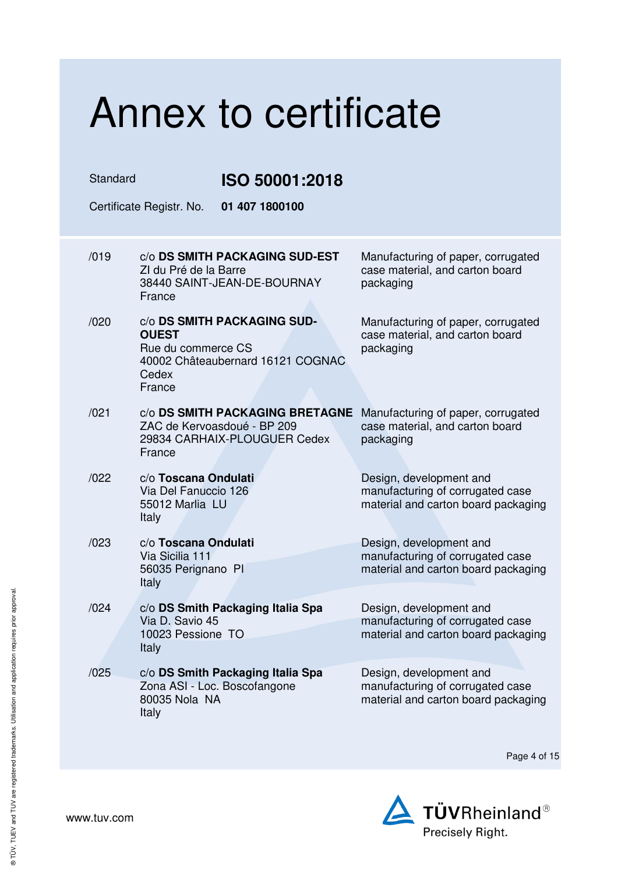| Annex to certificate       |                                                                                                                           |                                                                                                    |  |
|----------------------------|---------------------------------------------------------------------------------------------------------------------------|----------------------------------------------------------------------------------------------------|--|
| Standard<br>ISO 50001:2018 |                                                                                                                           |                                                                                                    |  |
|                            | 01 407 1800100<br>Certificate Registr. No.                                                                                |                                                                                                    |  |
| /019                       | C/O DS SMITH PACKAGING SUD-EST<br>ZI du Pré de la Barre<br>38440 SAINT-JEAN-DE-BOURNAY<br>France                          | Manufacturing of paper, corrugated<br>case material, and carton board<br>packaging                 |  |
| /020                       | C/O DS SMITH PACKAGING SUD-<br><b>OUEST</b><br>Rue du commerce CS<br>40002 Châteaubernard 16121 COGNAC<br>Cedex<br>France | Manufacturing of paper, corrugated<br>case material, and carton board<br>packaging                 |  |
| /021                       | C/O DS SMITH PACKAGING BRETAGNE<br>ZAC de Kervoasdoué - BP 209<br>29834 CARHAIX-PLOUGUER Cedex<br>France                  | Manufacturing of paper, corrugated<br>case material, and carton board<br>packaging                 |  |
| /022                       | c/o Toscana Ondulati<br>Via Del Fanuccio 126<br>55012 Marlia LU<br>Italy                                                  | Design, development and<br>manufacturing of corrugated case<br>material and carton board packaging |  |
| /023                       | c/o Toscana Ondulati<br>Via Sicilia 111<br>56035 Perignano PI<br>Italy                                                    | Design, development and<br>manufacturing of corrugated case<br>material and carton board packaging |  |
| /024                       | c/o DS Smith Packaging Italia Spa<br>Via D. Savio 45<br>10023 Pessione TO<br><b>Italy</b>                                 | Design, development and<br>manufacturing of corrugated case<br>material and carton board packaging |  |
| /025                       | c/o DS Smith Packaging Italia Spa<br>Zona ASI - Loc. Boscofangone<br>80035 Nola NA<br>Italy                               | Design, development and<br>manufacturing of corrugated case<br>material and carton board packaging |  |

Page 4 of 15

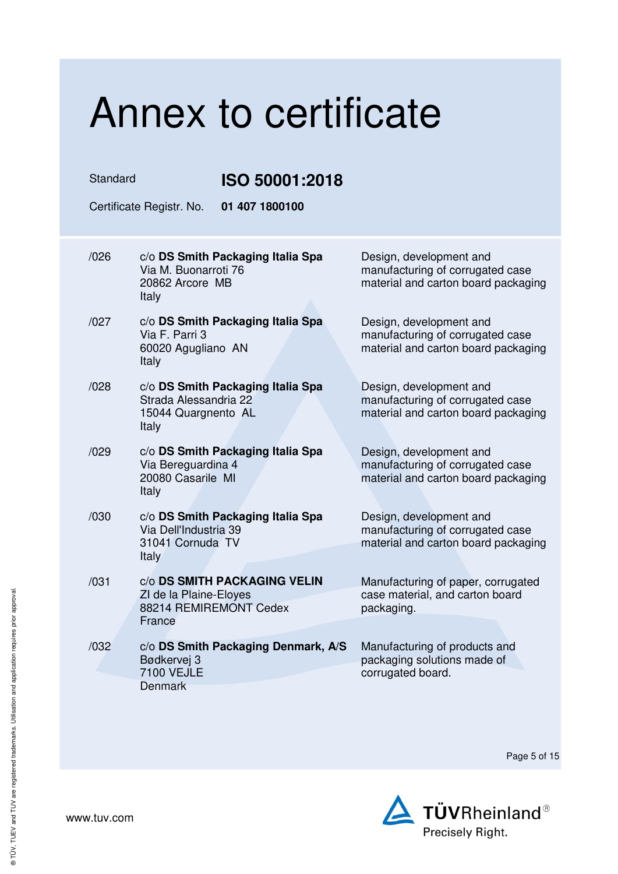### Annex to certificate Standard **ISO 50001:2018**  Certificate Registr. No. **01 407 1800100**  /026 c/o **DS Smith Packaging Italia Spa** Via M. Buonarroti 76 20862 Arcore MB Italy Design, development and manufacturing of corrugated case material and carton board packaging /027 c/o **DS Smith Packaging Italia Spa** Via F. Parri 3 60020 Agugliano AN Italy Design, development and manufacturing of corrugated case material and carton board packaging /028 c/o **DS Smith Packaging Italia Spa** Strada Alessandria 22 15044 Quargnento AL Italy Design, development and manufacturing of corrugated case material and carton board packaging /029 c/o **DS Smith Packaging Italia Spa** Via Bereguardina 4 20080 Casarile MI Italy Design, development and manufacturing of corrugated case material and carton board packaging /030 c/o **DS Smith Packaging Italia Spa** Via Dell'Industria 39 31041 Cornuda TV Italy Design, development and manufacturing of corrugated case material and carton board packaging /031 c/o **DS SMITH PACKAGING VELIN** ZI de la Plaine-Eloyes 88214 REMIREMONT Cedex France Manufacturing of paper, corrugated case material, and carton board packaging. /032 c/o **DS Smith Packaging Denmark, A/S** Bødkervej 3 7100 VEJLE **Denmark** Manufacturing of products and packaging solutions made of corrugated board.

Page 5 of 15

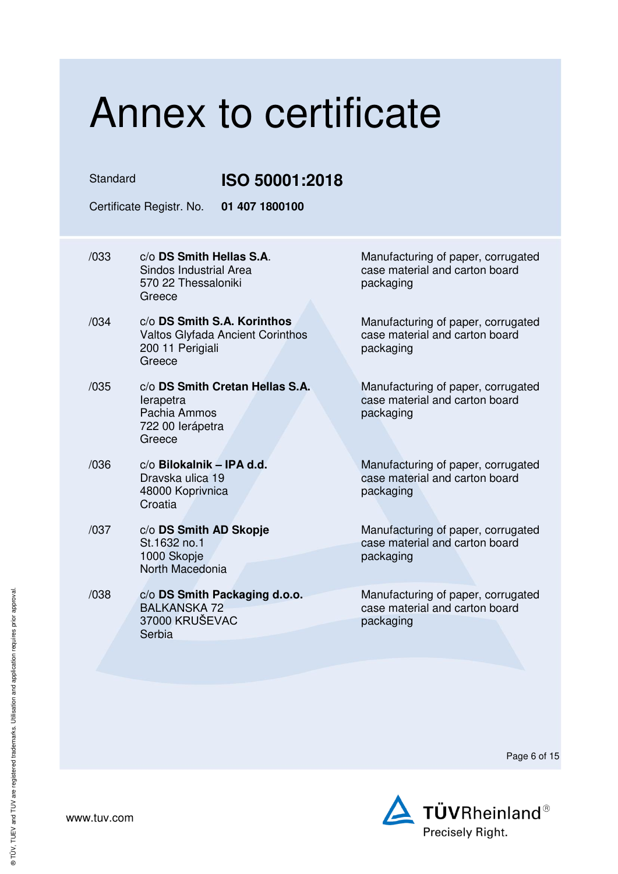Standard **ISO 50001:2018** 

Certificate Registr. No. **01 407 1800100** 

- /033 c/o **DS Smith Hellas S.A**. Sindos Industrial Area 570 22 Thessaloniki Greece
- /034 c/o **DS Smith S.A. Korinthos** Valtos Glyfada Ancient Corinthos 200 11 Perigiali **Greece**
- /035 c/o **DS Smith Cretan Hellas S.A.** Ierapetra Pachia Ammos 722 00 Ierápetra Greece
- /036 c/o **Bilokalnik – IPA d.d.** Dravska ulica 19 48000 Koprivnica **Croatia**
- /037 c/o **DS Smith AD Skopje** St.1632 no.1 1000 Skopje North Macedonia
- /038 c/o **DS Smith Packaging d.o.o.** BALKANSKA 72 37000 KRUŠEVAC Serbia

Manufacturing of paper, corrugated case material and carton board packaging

Manufacturing of paper, corrugated case material and carton board packaging

Manufacturing of paper, corrugated case material and carton board packaging

Manufacturing of paper, corrugated case material and carton board packaging

Manufacturing of paper, corrugated case material and carton board packaging

Manufacturing of paper, corrugated case material and carton board packaging

Page 6 of 15

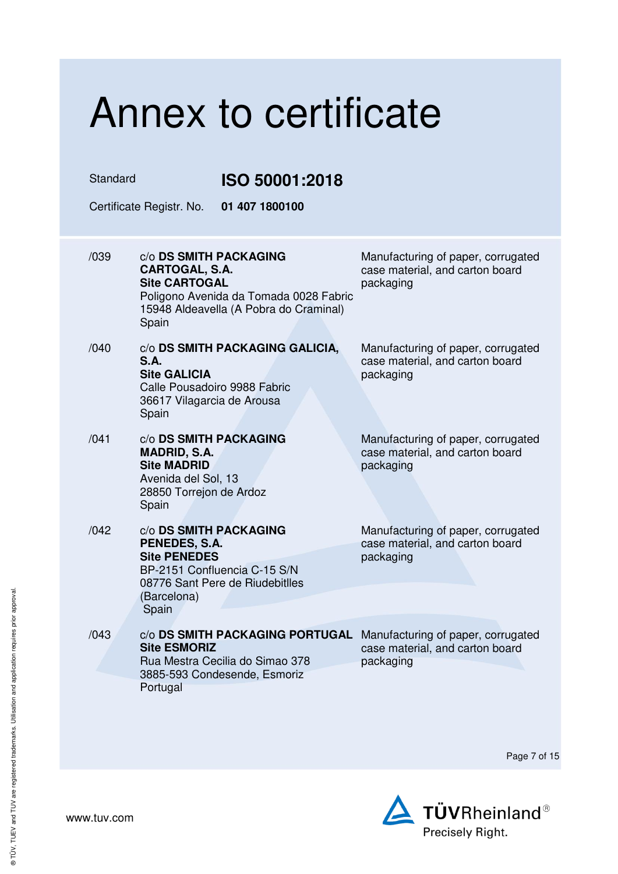| Annex to certificate |                                                                                                                                                               |                                                                                    |  |
|----------------------|---------------------------------------------------------------------------------------------------------------------------------------------------------------|------------------------------------------------------------------------------------|--|
| Standard             | ISO 50001:2018                                                                                                                                                |                                                                                    |  |
|                      | 01 407 1800100<br>Certificate Registr. No.                                                                                                                    |                                                                                    |  |
| /039                 | C/O DS SMITH PACKAGING<br>CARTOGAL, S.A.<br><b>Site CARTOGAL</b><br>Poligono Avenida da Tomada 0028 Fabric<br>15948 Aldeavella (A Pobra do Craminal)<br>Spain | Manufacturing of paper, corrugated<br>case material, and carton board<br>packaging |  |
| /040                 | c/o DS SMITH PACKAGING GALICIA,<br>S.A.<br><b>Site GALICIA</b><br>Calle Pousadoiro 9988 Fabric<br>36617 Vilagarcia de Arousa<br>Spain                         | Manufacturing of paper, corrugated<br>case material, and carton board<br>packaging |  |
| /041                 | C/O DS SMITH PACKAGING<br><b>MADRID, S.A.</b><br><b>Site MADRID</b><br>Avenida del Sol, 13<br>28850 Torrejon de Ardoz<br>Spain                                | Manufacturing of paper, corrugated<br>case material, and carton board<br>packaging |  |
| /042                 | c/o DS SMITH PACKAGING<br>PENEDES, S.A.<br><b>Site PENEDES</b><br>BP-2151 Confluencia C-15 S/N<br>08776 Sant Pere de Riudebitlles<br>(Barcelona)<br>Spain     | Manufacturing of paper, corrugated<br>case material, and carton board<br>packaging |  |
| /043                 | C/O DS SMITH PACKAGING PORTUGAL<br><b>Site ESMORIZ</b><br>Rua Mestra Cecilia do Simao 378<br>3885-593 Condesende, Esmoriz<br>Portugal                         | Manufacturing of paper, corrugated<br>case material, and carton board<br>packaging |  |

Page 7 of 15

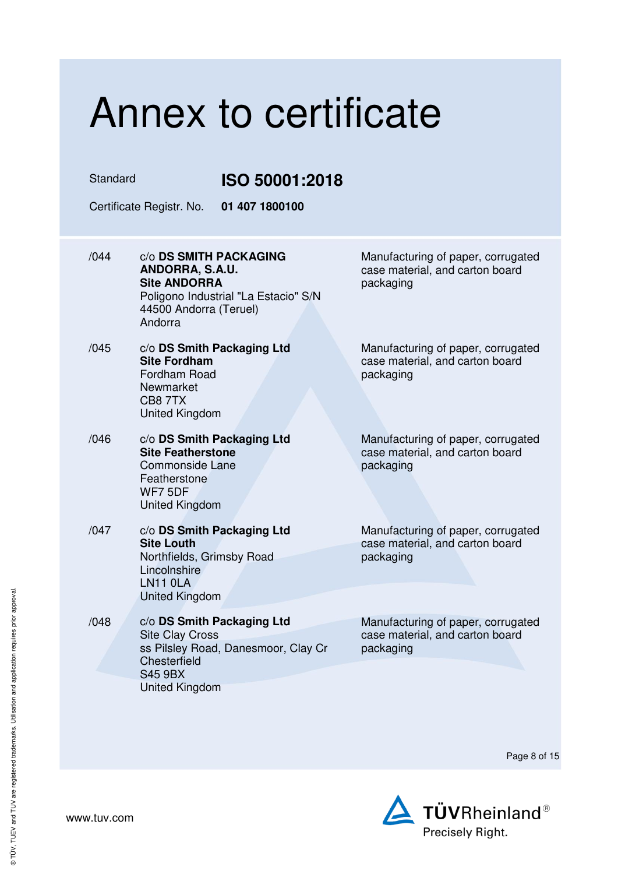### Annex to certificate Standard **ISO 50001:2018**  Certificate Registr. No. **01 407 1800100**  /044 c/o **DS SMITH PACKAGING ANDORRA, S.A.U. Site ANDORRA** Poligono Industrial "La Estacio" S/N 44500 Andorra (Teruel) Andorra Manufacturing of paper, corrugated case material, and carton board packaging /045 c/o **DS Smith Packaging Ltd Site Fordham** Fordham Road Newmarket CB8 7TX United Kingdom Manufacturing of paper, corrugated case material, and carton board packaging /046 c/o **DS Smith Packaging Ltd Site Featherstone** Commonside Lane **Featherstone** WF7 5DF United Kingdom Manufacturing of paper, corrugated case material, and carton board packaging /047 c/o **DS Smith Packaging Ltd Site Louth** Northfields, Grimsby Road **Lincolnshire** LN11 0LA United Kingdom Manufacturing of paper, corrugated case material, and carton board packaging /048 c/o **DS Smith Packaging Ltd** Site Clay Cross ss Pilsley Road, Danesmoor, Clay Cr **Chesterfield** S45 9BX United Kingdom Manufacturing of paper, corrugated case material, and carton board packaging

Page 8 of 15

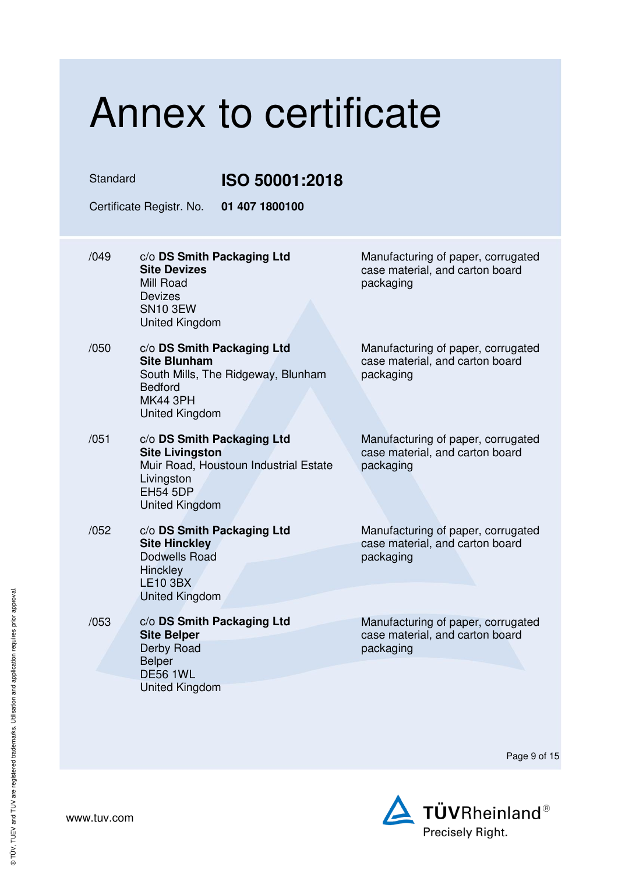### Annex to certificate Standard **ISO 50001:2018**  Certificate Registr. No. **01 407 1800100**  /049 c/o **DS Smith Packaging Ltd Site Devizes** Mill Road Devizes SN10 3EW United Kingdom Manufacturing of paper, corrugated case material, and carton board packaging /050 c/o **DS Smith Packaging Ltd Site Blunham** South Mills, The Ridgeway, Blunham Bedford MK44 3PH United Kingdom Manufacturing of paper, corrugated case material, and carton board packaging /051 c/o **DS Smith Packaging Ltd Site Livingston** Muir Road, Houstoun Industrial Estate **Livingston** EH54 5DP United Kingdom Manufacturing of paper, corrugated case material, and carton board packaging /052 c/o **DS Smith Packaging Ltd Site Hinckley** Dodwells Road **Hinckley** LE10 3BX United Kingdom Manufacturing of paper, corrugated case material, and carton board packaging /053 c/o **DS Smith Packaging Ltd Site Belper** Derby Road Belper DE56 1WL United Kingdom Manufacturing of paper, corrugated case material, and carton board packaging

Page 9 of 15

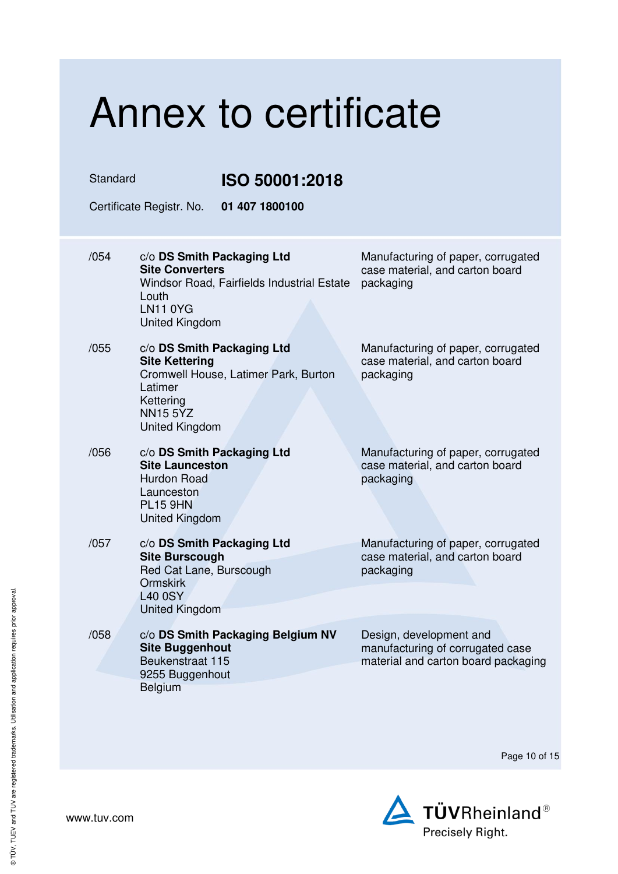| Annex to certificate |                                                                                                                                                                 |                |                                                                                                    |
|----------------------|-----------------------------------------------------------------------------------------------------------------------------------------------------------------|----------------|----------------------------------------------------------------------------------------------------|
| Standard             |                                                                                                                                                                 | ISO 50001:2018 |                                                                                                    |
|                      | Certificate Registr. No.                                                                                                                                        | 01 407 1800100 |                                                                                                    |
| /054                 | c/o DS Smith Packaging Ltd<br><b>Site Converters</b><br>Windsor Road, Fairfields Industrial Estate<br>Louth<br><b>LN11 0YG</b><br>United Kingdom                |                | Manufacturing of paper, corrugated<br>case material, and carton board<br>packaging                 |
| /055                 | c/o DS Smith Packaging Ltd<br><b>Site Kettering</b><br>Cromwell House, Latimer Park, Burton<br>Latimer<br>Kettering<br><b>NN15 5YZ</b><br><b>United Kingdom</b> |                | Manufacturing of paper, corrugated<br>case material, and carton board<br>packaging                 |
| /056                 | c/o DS Smith Packaging Ltd<br><b>Site Launceston</b><br><b>Hurdon Road</b><br>Launceston<br><b>PL15 9HN</b><br><b>United Kingdom</b>                            |                | Manufacturing of paper, corrugated<br>case material, and carton board<br>packaging                 |
| /057                 | c/o DS Smith Packaging Ltd<br><b>Site Burscough</b><br>Red Cat Lane, Burscough<br><b>Ormskirk</b><br><b>L40 0SY</b><br>United Kingdom                           |                | Manufacturing of paper, corrugated<br>case material, and carton board<br>packaging                 |
| /058                 | c/o DS Smith Packaging Belgium NV<br><b>Site Buggenhout</b><br>Beukenstraat 115<br>9255 Buggenhout<br>Belgium                                                   |                | Design, development and<br>manufacturing of corrugated case<br>material and carton board packaging |

Page 10 of 15

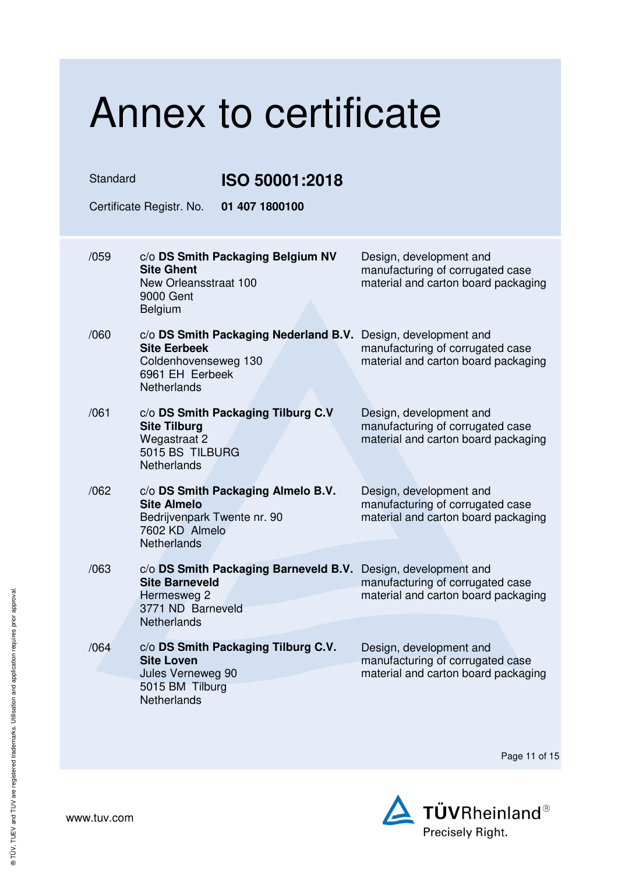| Annex to certificate              |                                                                                                                                                  |                                                                                                    |  |
|-----------------------------------|--------------------------------------------------------------------------------------------------------------------------------------------------|----------------------------------------------------------------------------------------------------|--|
| Standard<br><b>ISO 50001:2018</b> |                                                                                                                                                  |                                                                                                    |  |
|                                   | Certificate Registr. No.<br>01 407 1800100                                                                                                       |                                                                                                    |  |
| /059                              | c/o DS Smith Packaging Belgium NV<br><b>Site Ghent</b><br>New Orleansstraat 100<br>9000 Gent<br><b>Belgium</b>                                   | Design, development and<br>manufacturing of corrugated case<br>material and carton board packaging |  |
| /060                              | c/o DS Smith Packaging Nederland B.V.<br><b>Site Eerbeek</b><br>Coldenhovenseweg 130<br>6961 EH Eerbeek<br><b>Netherlands</b>                    | Design, development and<br>manufacturing of corrugated case<br>material and carton board packaging |  |
| /061                              | c/o DS Smith Packaging Tilburg C.V<br><b>Site Tilburg</b><br>Wegastraat 2<br>5015 BS TILBURG<br>Netherlands                                      | Design, development and<br>manufacturing of corrugated case<br>material and carton board packaging |  |
| /062                              | c/o DS Smith Packaging Almelo B.V.<br><b>Site Almelo</b><br>Bedrijvenpark Twente nr. 90<br>7602 KD Almelo<br>Netherlands                         | Design, development and<br>manufacturing of corrugated case<br>material and carton board packaging |  |
| /063                              | c/o DS Smith Packaging Barneveld B.V. Design, development and<br><b>Site Barneveld</b><br>Hermesweg 2<br>3771 ND Barneveld<br><b>Netherlands</b> | manufacturing of corrugated case<br>material and carton board packaging                            |  |
| /064                              | c/o DS Smith Packaging Tilburg C.V.<br><b>Site Loven</b><br>Jules Verneweg 90<br>5015 BM Tilburg<br>Netherlands                                  | Design, development and<br>manufacturing of corrugated case<br>material and carton board packaging |  |

Page 11 of 15

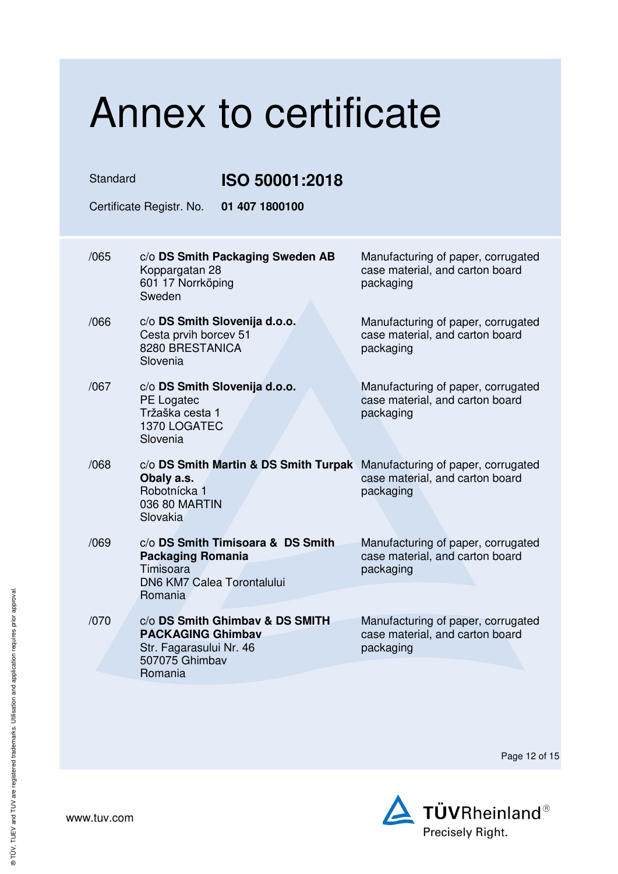| Annex to certificate                       |                                                                                                                                     |                                                                                    |  |
|--------------------------------------------|-------------------------------------------------------------------------------------------------------------------------------------|------------------------------------------------------------------------------------|--|
| Standard<br>ISO 50001:2018                 |                                                                                                                                     |                                                                                    |  |
| Certificate Registr. No.<br>01 407 1800100 |                                                                                                                                     |                                                                                    |  |
| /065                                       | c/o DS Smith Packaging Sweden AB<br>Koppargatan 28<br>601 17 Norrköping<br>Sweden                                                   | Manufacturing of paper, corrugated<br>case material, and carton board<br>packaging |  |
| /066                                       | c/o DS Smith Slovenija d.o.o.<br>Cesta prvih borcev 51<br>8280 BRESTANICA<br>Slovenia                                               | Manufacturing of paper, corrugated<br>case material, and carton board<br>packaging |  |
| /067                                       | c/o DS Smith Slovenija d.o.o.<br>PE Logatec<br>Tržaška cesta 1<br>1370 LOGATEC<br>Slovenia                                          | Manufacturing of paper, corrugated<br>case material, and carton board<br>packaging |  |
| /068                                       | c/o DS Smith Martin & DS Smith Turpak Manufacturing of paper, corrugated<br>Obaly a.s.<br>Robotnícka 1<br>036 80 MARTIN<br>Slovakia | case material, and carton board<br>packaging                                       |  |
| /069                                       | c/o DS Smith Timisoara & DS Smith<br><b>Packaging Romania</b><br>Timisoara<br>DN6 KM7 Calea Torontalului<br>Romania                 | Manufacturing of paper, corrugated<br>case material, and carton board<br>packaging |  |
| /070                                       | c/o DS Smith Ghimbay & DS SMITH<br><b>PACKAGING Ghimbav</b><br>Str. Fagarasului Nr. 46<br>507075 Ghimbav<br>Romania                 | Manufacturing of paper, corrugated<br>case material, and carton board<br>packaging |  |

Page 12 of 15

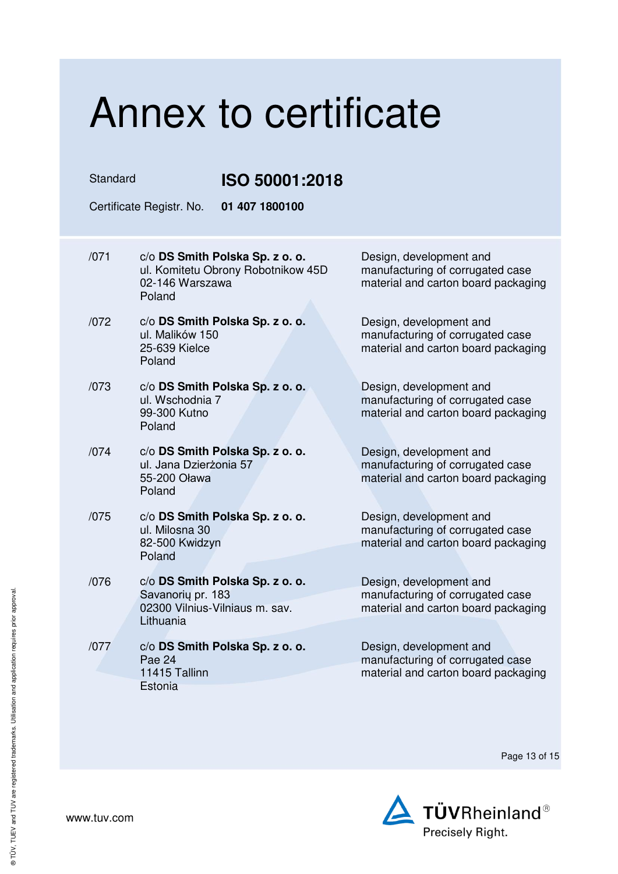Standard **ISO 50001:2018** 

Certificate Registr. No. **01 407 1800100** 

- /071 c/o **DS Smith Polska Sp. z o. o.** ul. Komitetu Obrony Robotnikow 45D 02-146 Warszawa Poland
- /072 c/o **DS Smith Polska Sp. z o. o.** ul. Malików 150 25-639 Kielce Poland
- /073 c/o **DS Smith Polska Sp. z o. o.** ul. Wschodnia 7 99-300 Kutno Poland
- /074 c/o **DS Smith Polska Sp. z o. o.** ul. Jana Dzierżonia 57 55-200 Oława Poland
- /075 c/o **DS Smith Polska Sp. z o. o.** ul. Milosna 30 82-500 Kwidzyn Poland
- /076 c/o **DS Smith Polska Sp. z o. o.** Savanorių pr. 183 02300 Vilnius-Vilniaus m. sav. Lithuania
- /077 c/o **DS Smith Polska Sp. z o. o.** Pae 24 11415 Tallinn **Estonia**

Design, development and manufacturing of corrugated case material and carton board packaging

Design, development and manufacturing of corrugated case material and carton board packaging

Design, development and manufacturing of corrugated case material and carton board packaging

Design, development and manufacturing of corrugated case material and carton board packaging

Design, development and manufacturing of corrugated case material and carton board packaging

Design, development and manufacturing of corrugated case material and carton board packaging

Design, development and manufacturing of corrugated case material and carton board packaging

Page 13 of 15

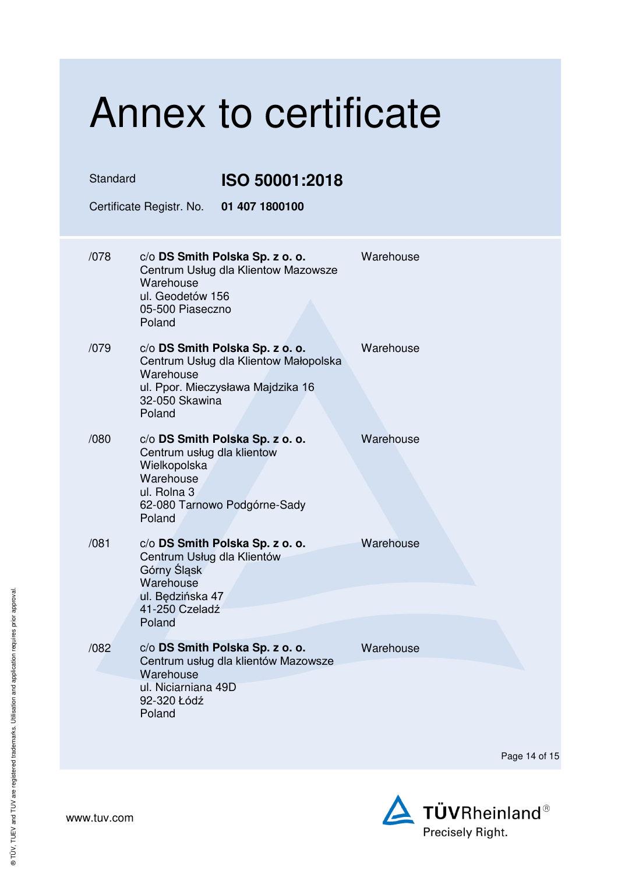| Annex to certificate                       |                                                                                                                                                        |           |  |
|--------------------------------------------|--------------------------------------------------------------------------------------------------------------------------------------------------------|-----------|--|
| Standard                                   | ISO 50001:2018                                                                                                                                         |           |  |
| Certificate Registr. No.<br>01 407 1800100 |                                                                                                                                                        |           |  |
| /078                                       | c/o DS Smith Polska Sp. z o. o.<br>Centrum Usług dla Klientow Mazowsze<br>Warehouse<br>ul. Geodetów 156<br>05-500 Piaseczno<br>Poland                  | Warehouse |  |
| /079                                       | c/o DS Smith Polska Sp. z o. o.<br>Centrum Usług dla Klientow Małopolska<br>Warehouse<br>ul. Ppor. Mieczysława Majdzika 16<br>32-050 Skawina<br>Poland | Warehouse |  |
| /080                                       | c/o DS Smith Polska Sp. z o. o.<br>Centrum usług dla klientow<br>Wielkopolska<br>Warehouse<br>ul. Rolna 3<br>62-080 Tarnowo Podgórne-Sady<br>Poland    | Warehouse |  |
| /081                                       | c/o DS Smith Polska Sp. z o. o.<br>Centrum Usług dla Klientów<br>Górny Śląsk<br>Warehouse<br>ul. Będzińska 47<br>41-250 Czeladź<br>Poland              | Warehouse |  |
| /082                                       | c/o DS Smith Polska Sp. z o. o.<br>Centrum usług dla klientów Mazowsze<br>Warehouse<br>ul. Niciarniana 49D<br>92-320 Łódź<br>Poland                    | Warehouse |  |

Page 14 of 15